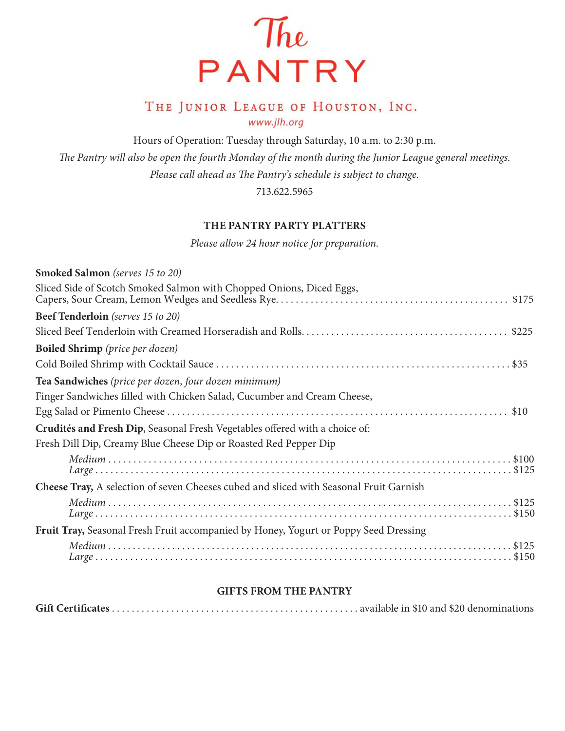

# THE JUNIOR LEAGUE OF HOUSTON, INC. www.jlh.org

Hours of Operation: Tuesday through Saturday, 10 a.m. to 2:30 p.m.

*The Pantry will also be open the fourth Monday of the month during the Junior League general meetings. Please call ahead as The Pantry's schedule is subject to change.* 

713.622.5965

## **THE PANTRY PARTY PLATTERS**

*Please allow 24 hour notice for preparation.*

## **GIFTS FROM THE PANTRY**

|--|--|